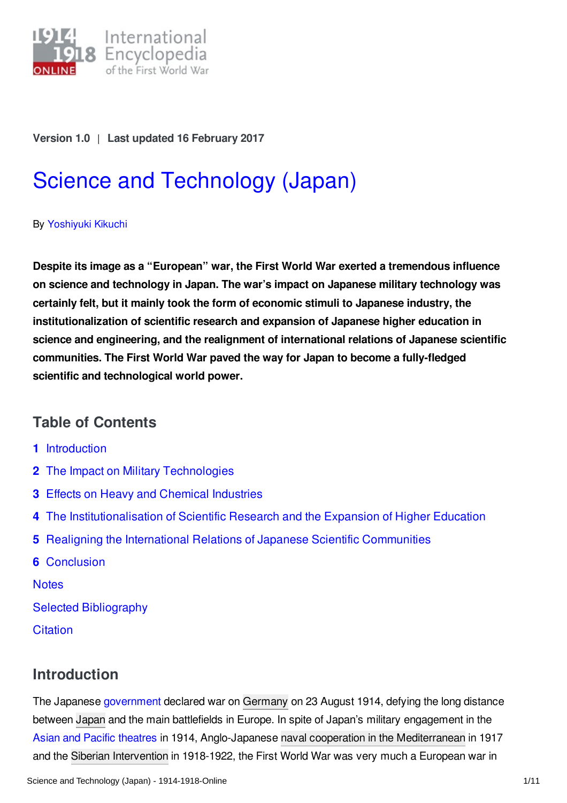

#### **Version 1.0** | **Last updated 16 February 2017**

# Science and [Technology](http://encyclopedia.1914-1918-online.net/article/science_and_technology_japan) (Japan)

#### By [Yoshiyuki](http://encyclopedia.1914-1918-online.net/contributors/Yoshiyuki_Kikuchi) Kikuchi

**Despite its image as a "European" war, the First World War exerted a tremendous influence on science and technology in Japan. The war's impact on Japanese military technology was certainly felt, but it mainly took the form of economic stimuli to Japanese industry, the institutionalization of scientific research and expansion of Japanese higher education in science and engineering, and the realignment of international relations of Japanese scientific communities. The First World War paved the way for Japan to become a fully-fledged scientific and technological world power.**

## **Table of Contents**

- **1** [Introduction](#page-0-0)
- **2** The Impact on Military [Technologies](#page-1-0)
- **3** Effects on Heavy and Chemical [Industries](#page-2-0)
- **4** The [Institutionalisation](#page-3-0) of Scientific Research and the Expansion of Higher Education
- **5** Realigning the International Relations of Japanese Scientific [Communities](#page-5-0)
- **6** [Conclusion](#page-6-0)

**[Notes](#page-7-0)** 

- Selected [Bibliography](#page-9-0)
- **[Citation](#page-10-0)**

# <span id="page-0-0"></span>**Introduction**

The Japanese [government](/article/governments_parliaments_and_parties_japan) declared war on [Germany](/article/germany) on 23 August 1914, defying the long distance between [Japan](/article/japanese_empire) and the main battlefields in Europe. In spite of Japan's military engagement in the Asian and Pacific [theatres](/article/extra-european_theatres_of_war) in 1914, Anglo-Japanese naval cooperation in the [Mediterranean](/article/navy_squadron_in_the_mediterranean_japan) in 1917 and the Siberian [Intervention](/article/siberian_intervention_1918-1922) in 1918-1922, the First World War was very much a European war in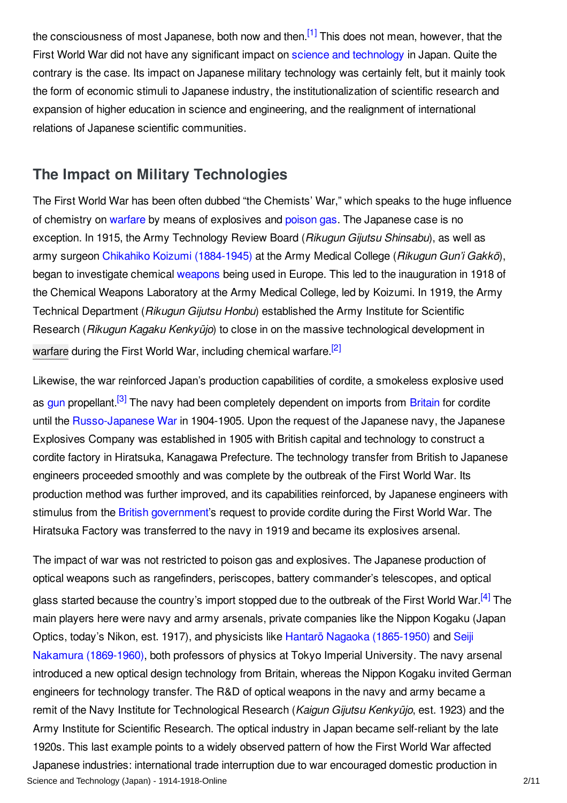<span id="page-1-1"></span>the consciousness of most Japanese, both now and then.<sup>[\[1\]](#page-7-1)</sup> This does not mean, however, that the First World War did not have any significant impact on science and [technology](/article/science_and_technology) in Japan. Quite the contrary is the case. Its impact on Japanese military technology was certainly felt, but it mainly took the form of economic stimuli to Japanese industry, the institutionalization of scientific research and expansion of higher education in science and engineering, and the realignment of international relations of Japanese scientific communities.

#### <span id="page-1-0"></span>**The Impact on Military Technologies**

The First World War has been often dubbed "the Chemists' War," which speaks to the huge influence of chemistry on [warfare](/article/warfare_1914-1918) by means of explosives and [poison](/article/gas_warfare) gas. The Japanese case is no exception. In 1915, the Army Technology Review Board (*Rikugun Gijutsu Shinsabu*), as well as army surgeon Chikahiko Koizumi [\(1884-1945\)](/index/names/1124086935) at the Army Medical College (*Rikugun Gun'i Gakkō*), began to investigate chemical [weapons](/article/weapons) being used in Europe. This led to the inauguration in 1918 of the Chemical Weapons Laboratory at the Army Medical College, led by Koizumi. In 1919, the Army Technical Department (*Rikugun Gijutsu Honbu*) established the Army Institute for Scientific Research (*Rikugun Kagaku Kenkyūjo*) to close in on the massive technological development in [warfare](/article/warfare_1914-1918_japan) during the First World War, including chemical warfare.<sup>[\[2\]](#page-7-2)</sup>

<span id="page-1-3"></span><span id="page-1-2"></span>Likewise, the war reinforced Japan's production capabilities of cordite, a smokeless explosive used as [gun](/article/rifles) propellant.<sup>[\[3\]](#page-7-3)</sup> The navy had been completely dependent on imports from [Britain](/article/great_britain) for cordite until the [Russo-Japanese](/article/russian-japanese-war) War in 1904-1905. Upon the request of the Japanese navy, the Japanese Explosives Company was established in 1905 with British capital and technology to construct a cordite factory in Hiratsuka, Kanagawa Prefecture. The technology transfer from British to Japanese engineers proceeded smoothly and was complete by the outbreak of the First World War. Its production method was further improved, and its capabilities reinforced, by Japanese engineers with stimulus from the British [government](/article/governments_parliaments_and_parties_great_britain_and_ireland)'s request to provide cordite during the First World War. The Hiratsuka Factory was transferred to the navy in 1919 and became its explosives arsenal.

<span id="page-1-4"></span>The impact of war was not restricted to poison gas and explosives. The Japanese production of optical weapons such as rangefinders, periscopes, battery commander's telescopes, and optical glass started because the country's import stopped due to the outbreak of the First World War.<sup>[\[4\]](#page-7-4)</sup> The main players here were navy and army arsenals, private companies like the Nippon Kogaku (Japan Optics, today's Nikon, est. 1917), and physicists like Hantarō Nagaoka [\(1865-1950\)](/index/names/117547018) and Seiji Nakamura [\(1869-1960\),](/index/names/1124086315) both professors of physics at Tokyo Imperial University. The navy arsenal introduced a new optical design technology from Britain, whereas the Nippon Kogaku invited German engineers for technology transfer. The R&D of optical weapons in the navy and army became a remit of the Navy Institute for Technological Research (*Kaigun Gijutsu Kenkyūjo*, est. 1923) and the Army Institute for Scientific Research. The optical industry in Japan became self-reliant by the late 1920s. This last example points to a widely observed pattern of how the First World War affected Japanese industries: international trade interruption due to war encouraged domestic production in Science and Technology (Japan) - 1914-1918-Online 2008 2008 2008 2008 2011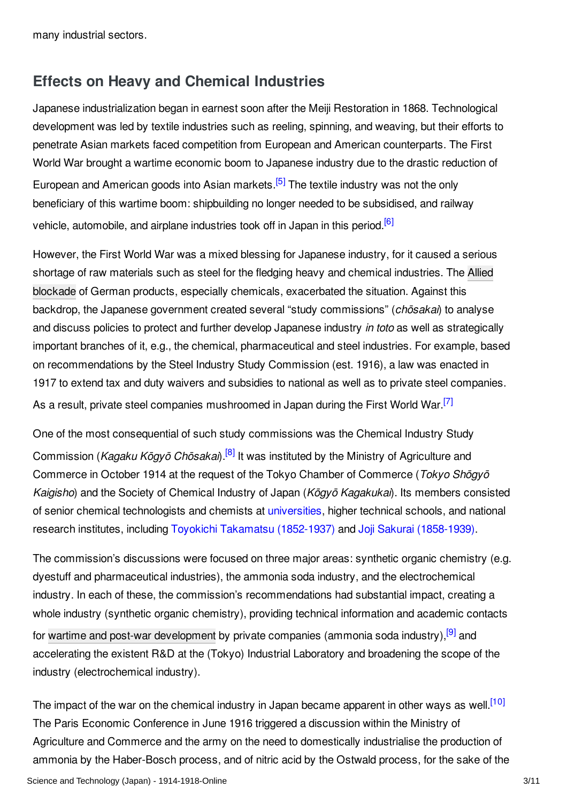many industrial sectors.

## <span id="page-2-0"></span>**Effects on Heavy and Chemical Industries**

<span id="page-2-1"></span>Japanese industrialization began in earnest soon after the Meiji Restoration in 1868. Technological development was led by textile industries such as reeling, spinning, and weaving, but their efforts to penetrate Asian markets faced competition from European and American counterparts. The First World War brought a wartime economic boom to Japanese industry due to the drastic reduction of European and American goods into Asian markets.<sup>[\[5\]](#page-7-5)</sup> The textile industry was not the only beneficiary of this wartime boom: shipbuilding no longer needed to be subsidised, and railway vehicle, automobile, and airplane industries took off in Japan in this period.<sup>[\[6\]](#page-7-6)</sup>

<span id="page-2-2"></span>However, the First World War was a mixed blessing for Japanese industry, for it caused a serious shortage of raw materials such as steel for the fledging heavy and chemical industries. The Allied blockade of German products, especially chemicals, [exacerbated](/article/naval_blockade_of_germany) the situation. Against this backdrop, the Japanese government created several "study commissions" (*chōsakai*) to analyse and discuss policies to protect and further develop Japanese industry *in toto* as well as strategically important branches of it, e.g., the chemical, pharmaceutical and steel industries. For example, based on recommendations by the Steel Industry Study Commission (est. 1916), a law was enacted in 1917 to extend tax and duty waivers and subsidies to national as well as to private steel companies. As a result, private steel companies mushroomed in Japan during the First World War.<sup>[\[7\]](#page-7-7)</sup>

<span id="page-2-4"></span><span id="page-2-3"></span>One of the most consequential of such study commissions was the Chemical Industry Study Commission (*Kagaku Kōgyō Chōsakai*). [\[8\]](#page-7-8) It was instituted by the Ministry of Agriculture and Commerce in October 1914 at the request of the Tokyo Chamber of Commerce (*Tokyo Shōgyō Kaigisho*) and the Society of Chemical Industry of Japan (*Kōgyō Kagakukai*). Its members consisted of senior chemical technologists and chemists at [universities](/article/schools_and_universities), higher technical schools, and national research institutes, including Toyokichi Takamatsu [\(1852-1937\)](/index/names/1124086048) and Joji Sakurai [\(1858-1939\)](/index/names/1055467130).

<span id="page-2-5"></span>The commission's discussions were focused on three major areas: synthetic organic chemistry (e.g. dyestuff and pharmaceutical industries), the ammonia soda industry, and the electrochemical industry. In each of these, the commission's recommendations had substantial impact, creating a whole industry (synthetic organic chemistry), providing technical information and academic contacts for wartime and post-war [development](/article/wartime_and_post-war_economies_japan) by private companies (ammonia soda industry),<sup>[\[9\]](#page-7-9)</sup> and accelerating the existent R&D at the (Tokyo) Industrial Laboratory and broadening the scope of the industry (electrochemical industry).

<span id="page-2-6"></span>The impact of the war on the chemical industry in Japan became apparent in other ways as well.<sup>[\[10\]](#page-8-0)</sup> The Paris Economic Conference in June 1916 triggered a discussion within the Ministry of Agriculture and Commerce and the army on the need to domestically industrialise the production of ammonia by the Haber-Bosch process, and of nitric acid by the Ostwald process, for the sake of the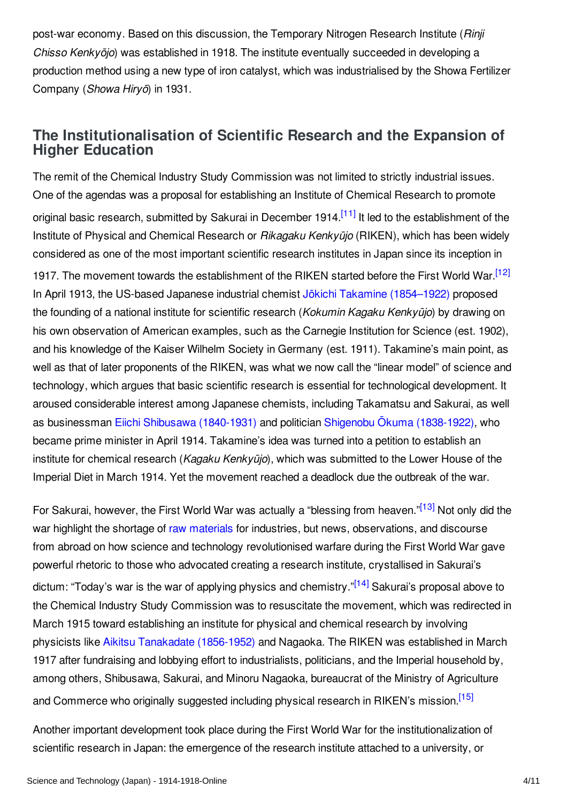post-war economy. Based on this discussion, the Temporary Nitrogen Research Institute (*Rinji Chisso Kenkyōjo*) was established in 1918. The institute eventually succeeded in developing a production method using a new type of iron catalyst, which was industrialised by the Showa Fertilizer Company (*Showa Hiryō*) in 1931.

### <span id="page-3-0"></span>**The Institutionalisation of Scientific Research and the Expansion of Higher Education**

<span id="page-3-2"></span><span id="page-3-1"></span>The remit of the Chemical Industry Study Commission was not limited to strictly industrial issues. One of the agendas was a proposal for establishing an Institute of Chemical Research to promote original basic research, submitted by Sakurai in December 1914.<sup>[\[11\]](#page-8-1)</sup> It led to the establishment of the Institute of Physical and Chemical Research or *Rikagaku Kenkyūjo* (RIKEN), which has been widely considered as one of the most important scientific research institutes in Japan since its inception in 1917. The movement towards the establishment of the RIKEN started before the First World War.<sup>[\[12\]](#page-8-2)</sup> In April 1913, the US-based Japanese industrial chemist Jokichi Takamine [\(1854–1922\)](/index/names/1124085572) proposed the founding of a national institute for scientific research (*Kokumin Kagaku Kenkyūjo*) by drawing on his own observation of American examples, such as the Carnegie Institution for Science (est. 1902), and his knowledge of the Kaiser Wilhelm Society in Germany (est. 1911). Takamine's main point, as well as that of later proponents of the RIKEN, was what we now call the "linear model" of science and technology, which argues that basic scientific research is essential for technological development. It aroused considerable interest among Japanese chemists, including Takamatsu and Sakurai, as well as businessman Eiichi Shibusawa [\(1840-1931\)](/index/names/119395983) and politician Shigenobu Ōkuma [\(1838-1922\)](/index/names/119096420), who became prime minister in April 1914. Takamine's idea was turned into a petition to establish an institute for chemical research (*Kagaku Kenkyūjo*), which was submitted to the Lower House of the Imperial Diet in March 1914. Yet the movement reached a deadlock due the outbreak of the war.

<span id="page-3-4"></span><span id="page-3-3"></span>For Sakurai, however, the First World War was actually a "blessing from heaven."<sup>[\[13\]](#page-8-3)</sup> Not only did the war highlight the shortage of raw [materials](/article/raw_materials) for industries, but news, observations, and discourse from abroad on how science and technology revolutionised warfare during the First World War gave powerful rhetoric to those who advocated creating a research institute, crystallised in Sakurai's dictum: "Today's war is the war of applying physics and chemistry."<sup>[\[14\]](#page-8-4)</sup> Sakurai's proposal above to the Chemical Industry Study Commission was to resuscitate the movement, which was redirected in March 1915 toward establishing an institute for physical and chemical research by involving physicists like Aikitsu Tanakadate [\(1856-1952\)](/index/names/1124084797) and Nagaoka. The RIKEN was established in March 1917 after fundraising and lobbying effort to industrialists, politicians, and the Imperial household by, among others, Shibusawa, Sakurai, and Minoru Nagaoka, bureaucrat of the Ministry of Agriculture and Commerce who originally suggested including physical research in RIKEN's mission.<sup>[\[15\]](#page-8-5)</sup>

<span id="page-3-5"></span>Another important development took place during the First World War for the institutionalization of scientific research in Japan: the emergence of the research institute attached to a university, or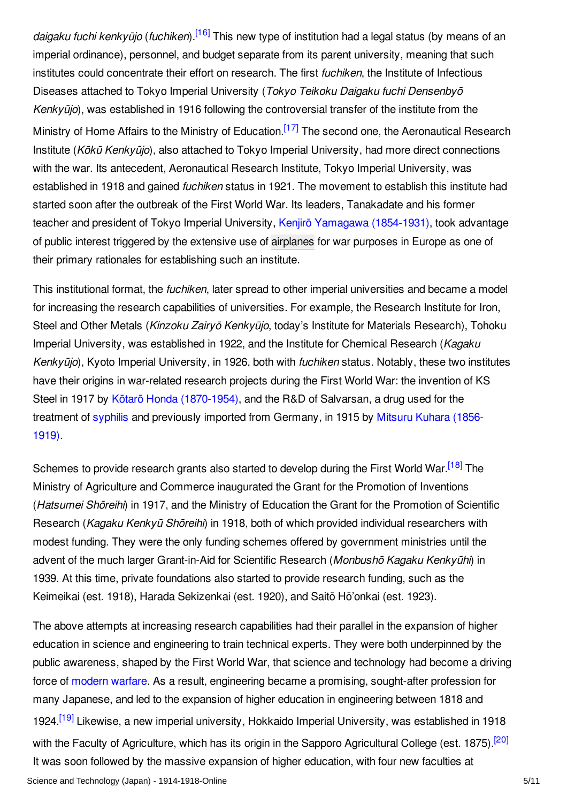<span id="page-4-1"></span><span id="page-4-0"></span>*daigaku fuchi kenkyūjo* (*fuchiken*). [\[16\]](#page-8-6) This new type of institution had a legal status (by means of an imperial ordinance), personnel, and budget separate from its parent university, meaning that such institutes could concentrate their effort on research. The first *fuchiken*, the Institute of Infectious Diseases attached to Tokyo Imperial University (*Tokyo Teikoku Daigaku fuchi Densenbyō Kenkyūjo*), was established in 1916 following the controversial transfer of the institute from the Ministry of Home Affairs to the Ministry of Education.<sup>[\[17\]](#page-8-7)</sup> The second one, the Aeronautical Research Institute (*Kōkū Kenkyūjo*), also attached to Tokyo Imperial University, had more direct connections with the war. Its antecedent, Aeronautical Research Institute, Tokyo Imperial University, was established in 1918 and gained *fuchiken* status in 1921. The movement to establish this institute had started soon after the outbreak of the First World War. Its leaders, Tanakadate and his former teacher and president of Tokyo Imperial University, Kenjirō Yamagawa [\(1854-1931\)](/index/names/1124084029), took advantage of public interest triggered by the extensive use of [airplanes](/article/air_warfare) for war purposes in Europe as one of their primary rationales for establishing such an institute.

This institutional format, the *fuchiken*, later spread to other imperial universities and became a model for increasing the research capabilities of universities. For example, the Research Institute for Iron, Steel and Other Metals (*Kinzoku Zairyō Kenkyūjo*, today's Institute for Materials Research), Tohoku Imperial University, was established in 1922, and the Institute for Chemical Research (*Kagaku Kenkyūjo*), Kyoto Imperial University, in 1926, both with *fuchiken* status. Notably, these two institutes have their origins in war-related research projects during the First World War: the invention of KS Steel in 1917 by Kōtarō Honda [\(1870-1954\)](/index/names/1027167446), and the R&D of Salvarsan, a drug used for the treatment of [syphilis](/article/venereal_diseases) and [previously](/index/names/1124083693) imported from Germany, in 1915 by Mitsuru Kuhara (1856- 1919).

<span id="page-4-2"></span>Schemes to provide research grants also started to develop during the First World War.<sup>[\[18\]](#page-8-8)</sup> The Ministry of Agriculture and Commerce inaugurated the Grant for the Promotion of Inventions (*Hatsumei Shōreihi*) in 1917, and the Ministry of Education the Grant for the Promotion of Scientific Research (*Kagaku Kenkyū Shōreihi*) in 1918, both of which provided individual researchers with modest funding. They were the only funding schemes offered by government ministries until the advent of the much larger Grant-in-Aid for Scientific Research (*Monbushō Kagaku Kenkyūhi*) in 1939. At this time, private foundations also started to provide research funding, such as the Keimeikai (est. 1918), Harada Sekizenkai (est. 1920), and Saitō Hō'onkai (est. 1923).

<span id="page-4-4"></span><span id="page-4-3"></span>The above attempts at increasing research capabilities had their parallel in the expansion of higher education in science and engineering to train technical experts. They were both underpinned by the public awareness, shaped by the First World War, that science and technology had become a driving force of [modern](/article/on_the_road_to_modern_war) warfare. As a result, engineering became a promising, sought-after profession for many Japanese, and led to the expansion of higher education in engineering between 1818 and 1924.<sup>[\[19\]](#page-8-9)</sup> Likewise, a new imperial university, Hokkaido Imperial University, was established in 1918 with the Faculty of Agriculture, which has its origin in the Sapporo Agricultural College (est. 1875).<sup>[\[20\]](#page-8-10)</sup> It was soon followed by the massive expansion of higher education, with four new faculties at Science and Technology (Japan) - 1914-1918-Online 5/11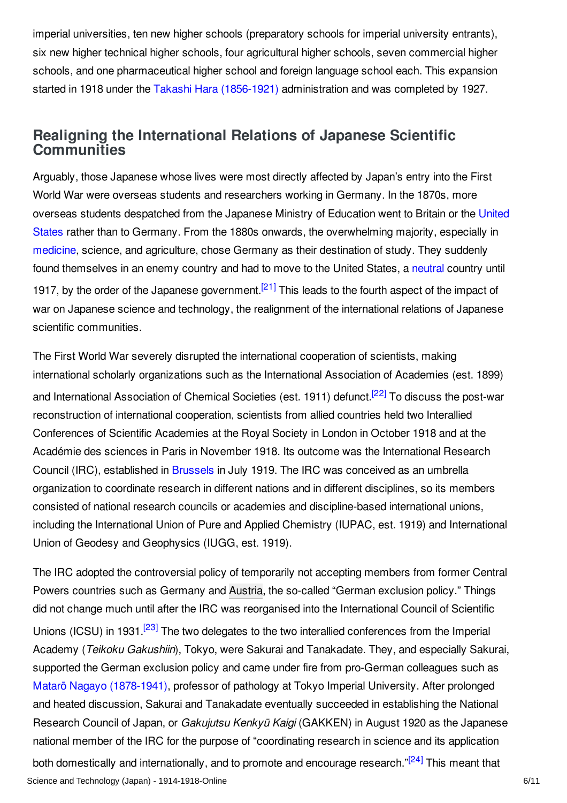imperial universities, ten new higher schools (preparatory schools for imperial university entrants), six new higher technical higher schools, four agricultural higher schools, seven commercial higher schools, and one pharmaceutical higher school and foreign language school each. This expansion started in 1918 under the Takashi Hara [\(1856-1921\)](/index/names/119096617) administration and was completed by 1927.

## <span id="page-5-0"></span>**Realigning the International Relations of Japanese Scientific Communities**

Arguably, those Japanese whose lives were most directly affected by Japan's entry into the First World War were overseas students and researchers working in Germany. In the 1870s, more overseas students despatched from the Japanese Ministry of Education went to Britain or the United States rather than to Germany. From the 1880s onwards, the [overwhelming](/article/united_states_of_america) majority, especially in [medicine](/article/medicine_and_medical_service), science, and agriculture, chose Germany as their destination of study. They suddenly found themselves in an enemy country and had to move to the United States, a [neutral](/article/neutrality) country until 1917, by the order of the Japanese government.<sup>[\[21\]](#page-8-11)</sup> This leads to the fourth aspect of the impact of war on Japanese science and technology, the realignment of the international relations of Japanese scientific communities.

<span id="page-5-2"></span><span id="page-5-1"></span>The First World War severely disrupted the international cooperation of scientists, making international scholarly organizations such as the International Association of Academies (est. 1899) and International Association of Chemical Societies (est. 1911) defunct.<sup>[\[22\]](#page-8-12)</sup> To discuss the post-war reconstruction of international cooperation, scientists from allied countries held two Interallied Conferences of Scientific Academies at the Royal Society in London in October 1918 and at the Académie des sciences in Paris in November 1918. Its outcome was the International Research Council (IRC), established in [Brussels](/article/brussels) in July 1919. The IRC was conceived as an umbrella organization to coordinate research in different nations and in different disciplines, so its members consisted of national research councils or academies and discipline-based international unions, including the International Union of Pure and Applied Chemistry (IUPAC, est. 1919) and International Union of Geodesy and Geophysics (IUGG, est. 1919).

<span id="page-5-4"></span><span id="page-5-3"></span>The IRC adopted the controversial policy of temporarily not accepting members from former Central Powers countries such as Germany and [Austria](/article/austria-hungary), the so-called "German exclusion policy." Things did not change much until after the IRC was reorganised into the International Council of Scientific Unions (ICSU) in 1931.<sup>[\[23\]](#page-8-13)</sup> The two delegates to the two interallied conferences from the Imperial Academy (*Teikoku Gakushiin*), Tokyo, were Sakurai and Tanakadate. They, and especially Sakurai, supported the German exclusion policy and came under fire from pro-German colleagues such as Matarō Nagayo [\(1878-1941\)](/index/names/1102003727), professor of pathology at Tokyo Imperial University. After prolonged and heated discussion, Sakurai and Tanakadate eventually succeeded in establishing the National Research Council of Japan, or *Gakujutsu Kenkyū Kaigi* (GAKKEN) in August 1920 as the Japanese national member of the IRC for the purpose of "coordinating research in science and its application both domestically and internationally, and to promote and encourage research."<sup>[\[24\]](#page-8-14)</sup> This meant that Science and Technology (Japan) - 1914-1918-Online 6/11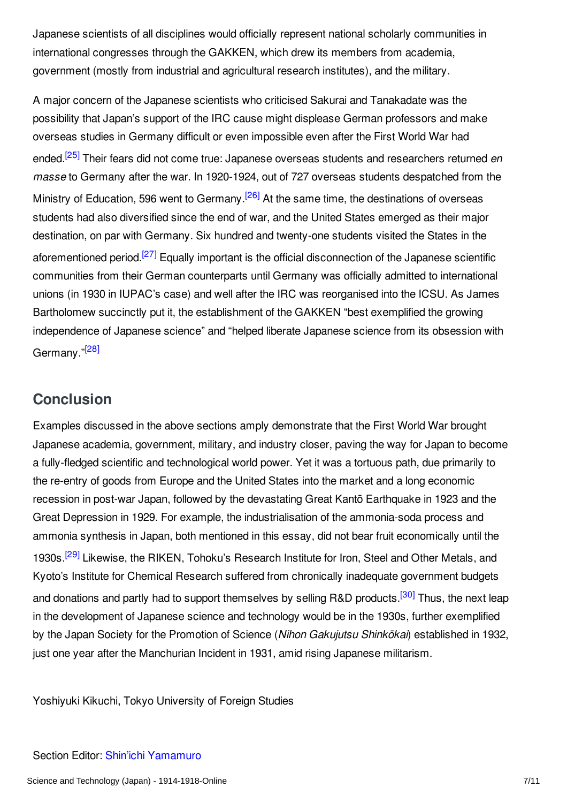Japanese scientists of all disciplines would officially represent national scholarly communities in international congresses through the GAKKEN, which drew its members from academia, government (mostly from industrial and agricultural research institutes), and the military.

<span id="page-6-2"></span><span id="page-6-1"></span>A major concern of the Japanese scientists who criticised Sakurai and Tanakadate was the possibility that Japan's support of the IRC cause might displease German professors and make overseas studies in Germany difficult or even impossible even after the First World War had ended. [\[25\]](#page-8-15) Their fears did not come true: Japanese overseas students and researchers returned *en masse* to Germany after the war. In 1920-1924, out of 727 overseas students despatched from the Ministry of Education, 596 went to Germany.<sup>[\[26\]](#page-8-16)</sup> At the same time, the destinations of overseas students had also diversified since the end of war, and the United States emerged as their major destination, on par with Germany. Six hundred and twenty-one students visited the States in the aforementioned period.<sup>[\[27\]](#page-8-17)</sup> Equally important is the official disconnection of the Japanese scientific communities from their German counterparts until Germany was officially admitted to international unions (in 1930 in IUPAC's case) and well after the IRC was reorganised into the ICSU. As James Bartholomew succinctly put it, the establishment of the GAKKEN "best exemplified the growing independence of Japanese science" and "helped liberate Japanese science from its obsession with Germany."<sup>[\[28\]](#page-9-1)</sup>

## <span id="page-6-4"></span><span id="page-6-3"></span><span id="page-6-0"></span>**Conclusion**

<span id="page-6-5"></span>Examples discussed in the above sections amply demonstrate that the First World War brought Japanese academia, government, military, and industry closer, paving the way for Japan to become a fully-fledged scientific and technological world power. Yet it was a tortuous path, due primarily to the re-entry of goods from Europe and the United States into the market and a long economic recession in post-war Japan, followed by the devastating Great Kantō Earthquake in 1923 and the Great Depression in 1929. For example, the industrialisation of the ammonia-soda process and ammonia synthesis in Japan, both mentioned in this essay, did not bear fruit economically until the 1930s.<sup>[\[29\]](#page-9-2)</sup> Likewise, the RIKEN, Tohoku's Research Institute for Iron, Steel and Other Metals, and Kyoto's Institute for Chemical Research suffered from chronically inadequate government budgets and donations and partly had to support themselves by selling R&D products.<sup>[\[30\]](#page-9-3)</sup> Thus, the next leap in the development of Japanese science and technology would be in the 1930s, further exemplified by the Japan Society for the Promotion of Science (*Nihon Gakujutsu Shinkōkai*) established in 1932, just one year after the Manchurian Incident in 1931, amid rising Japanese militarism.

<span id="page-6-6"></span>Yoshiyuki Kikuchi, Tokyo University of Foreign Studies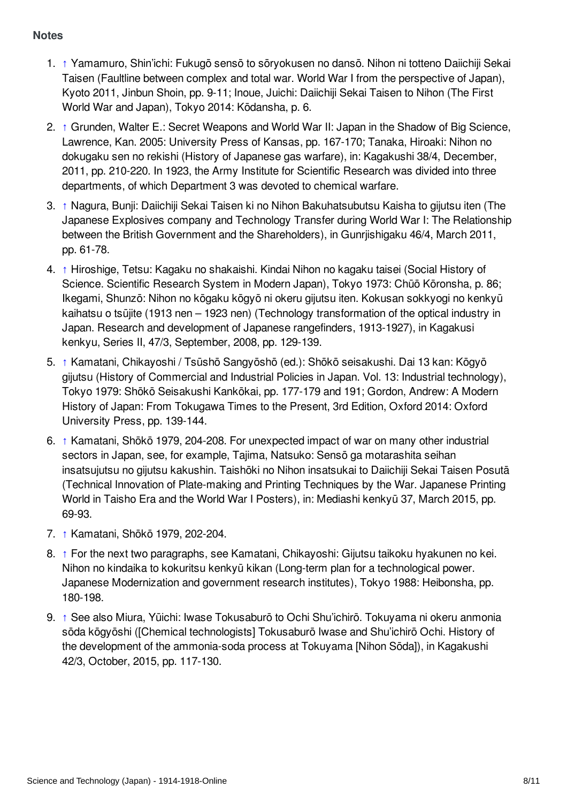#### <span id="page-7-0"></span>**Notes**

- <span id="page-7-1"></span>1. [↑](#page-1-1) Yamamuro, Shin'ichi: Fukugō sensō to sōryokusen no dansō. Nihon ni totteno Daiichiji Sekai Taisen (Faultline between complex and total war. World War I from the perspective of Japan), Kyoto 2011, Jinbun Shoin, pp. 9-11; Inoue, Juichi: Daiichiji Sekai Taisen to Nihon (The First World War and Japan), Tokyo 2014: Kōdansha, p. 6.
- <span id="page-7-2"></span>2. [↑](#page-1-2) Grunden, Walter E.: Secret Weapons and World War II: Japan in the Shadow of Big Science, Lawrence, Kan. 2005: University Press of Kansas, pp. 167-170; Tanaka, Hiroaki: Nihon no dokugaku sen no rekishi (History of Japanese gas warfare), in: Kagakushi 38/4, December, 2011, pp. 210-220. In 1923, the Army Institute for Scientific Research was divided into three departments, of which Department 3 was devoted to chemical warfare.
- <span id="page-7-3"></span>3. [↑](#page-1-3) Nagura, Bunji: Daiichiji Sekai Taisen ki no Nihon Bakuhatsubutsu Kaisha to gijutsu iten (The Japanese Explosives company and Technology Transfer during World War I: The Relationship between the British Government and the Shareholders), in Gunrjishigaku 46/4, March 2011, pp. 61-78.
- <span id="page-7-4"></span>4. [↑](#page-1-4) Hiroshige, Tetsu: Kagaku no shakaishi. Kindai Nihon no kagaku taisei (Social History of Science. Scientific Research System in Modern Japan), Tokyo 1973: Chūō Kōronsha, p. 86; Ikegami, Shunzō: Nihon no kōgaku kōgyō ni okeru gijutsu iten. Kokusan sokkyogi no kenkyū kaihatsu o tsūjite (1913 nen – 1923 nen) (Technology transformation of the optical industry in Japan. Research and development of Japanese rangefinders, 1913-1927), in Kagakusi kenkyu, Series II, 47/3, September, 2008, pp. 129-139.
- <span id="page-7-5"></span>5. [↑](#page-2-1) Kamatani, Chikayoshi / Tsūshō Sangyōshō (ed.): Shōkō seisakushi. Dai 13 kan: Kōgyō gijutsu (History of Commercial and Industrial Policies in Japan. Vol. 13: Industrial technology), Tokyo 1979: Shōkō Seisakushi Kankōkai, pp. 177-179 and 191; Gordon, Andrew: A Modern History of Japan: From Tokugawa Times to the Present, 3rd Edition, Oxford 2014: Oxford University Press, pp. 139-144.
- <span id="page-7-6"></span>6. [↑](#page-2-2) Kamatani, Shōkō 1979, 204-208. For unexpected impact of war on many other industrial sectors in Japan, see, for example, Tajima, Natsuko: Sensō ga motarashita seihan insatsujutsu no gijutsu kakushin. Taishōki no Nihon insatsukai to Daiichiji Sekai Taisen Posutā (Technical Innovation of Plate-making and Printing Techniques by the War. Japanese Printing World in Taisho Era and the World War I Posters), in: Mediashi kenkyū 37, March 2015, pp. 69-93.
- <span id="page-7-7"></span>7. [↑](#page-2-3) Kamatani, Shōkō 1979, 202-204.
- <span id="page-7-8"></span>8. [↑](#page-2-4) For the next two paragraphs, see Kamatani, Chikayoshi: Gijutsu taikoku hyakunen no kei. Nihon no kindaika to kokuritsu kenkyū kikan (Long-term plan for a technological power. Japanese Modernization and government research institutes), Tokyo 1988: Heibonsha, pp. 180-198.
- <span id="page-7-9"></span>9. [↑](#page-2-5) See also Miura, Yūichi: Iwase Tokusaburō to Ochi Shu'ichirō. Tokuyama ni okeru anmonia sōda kōgyōshi ([Chemical technologists] Tokusaburō Iwase and Shu'ichirō Ochi. History of the development of the ammonia-soda process at Tokuyama [Nihon Sōda]), in Kagakushi 42/3, October, 2015, pp. 117-130.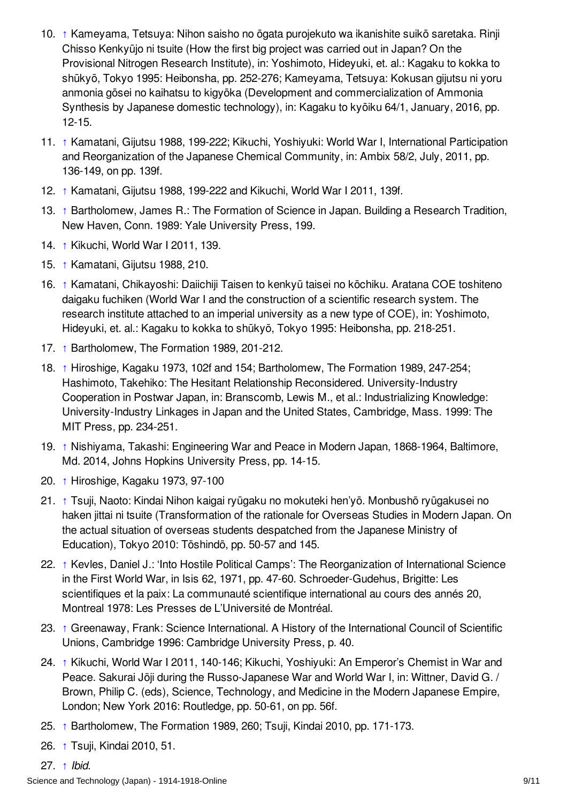- <span id="page-8-0"></span>10. [↑](#page-2-6) Kameyama, Tetsuya: Nihon saisho no ōgata purojekuto wa ikanishite suikō saretaka. Rinji Chisso Kenkyūjo ni tsuite (How the first big project was carried out in Japan? On the Provisional Nitrogen Research Institute), in: Yoshimoto, Hideyuki, et. al.: Kagaku to kokka to shūkyō, Tokyo 1995: Heibonsha, pp. 252-276; Kameyama, Tetsuya: Kokusan gijutsu ni yoru anmonia gōsei no kaihatsu to kigyōka (Development and commercialization of Ammonia Synthesis by Japanese domestic technology), in: Kagaku to kyōiku 64/1, January, 2016, pp. 12-15.
- <span id="page-8-1"></span>11. [↑](#page-3-1) Kamatani, Gijutsu 1988, 199-222; Kikuchi, Yoshiyuki: World War I, International Participation and Reorganization of the Japanese Chemical Community, in: Ambix 58/2, July, 2011, pp. 136-149, on pp. 139f.
- <span id="page-8-2"></span>12. [↑](#page-3-2) Kamatani, Gijutsu 1988, 199-222 and Kikuchi, World War I 2011, 139f.
- <span id="page-8-3"></span>13. [↑](#page-3-3) Bartholomew, James R.: The Formation of Science in Japan. Building a Research Tradition, New Haven, Conn. 1989: Yale University Press, 199.
- <span id="page-8-4"></span>14. [↑](#page-3-4) Kikuchi, World War I 2011, 139.
- <span id="page-8-5"></span>15. [↑](#page-3-5) Kamatani, Gijutsu 1988, 210.
- <span id="page-8-6"></span>16. [↑](#page-4-0) Kamatani, Chikayoshi: Daiichiji Taisen to kenkyū taisei no kōchiku. Aratana COE toshiteno daigaku fuchiken (World War I and the construction of a scientific research system. The research institute attached to an imperial university as a new type of COE), in: Yoshimoto, Hideyuki, et. al.: Kagaku to kokka to shūkyō, Tokyo 1995: Heibonsha, pp. 218-251.
- <span id="page-8-7"></span>17. [↑](#page-4-1) Bartholomew, The Formation 1989, 201-212.
- <span id="page-8-8"></span>18. [↑](#page-4-2) Hiroshige, Kagaku 1973, 102f and 154; Bartholomew, The Formation 1989, 247-254; Hashimoto, Takehiko: The Hesitant Relationship Reconsidered. University-Industry Cooperation in Postwar Japan, in: Branscomb, Lewis M., et al.: Industrializing Knowledge: University-Industry Linkages in Japan and the United States, Cambridge, Mass. 1999: The MIT Press, pp. 234-251.
- <span id="page-8-9"></span>19. [↑](#page-4-3) Nishiyama, Takashi: Engineering War and Peace in Modern Japan, 1868-1964, Baltimore, Md. 2014, Johns Hopkins University Press, pp. 14-15.
- <span id="page-8-10"></span>20. [↑](#page-4-4) Hiroshige, Kagaku 1973, 97-100
- <span id="page-8-11"></span>21. [↑](#page-5-1) Tsuji, Naoto: Kindai Nihon kaigai ryūgaku no mokuteki hen'yō. Monbushō ryūgakusei no haken jittai ni tsuite (Transformation of the rationale for Overseas Studies in Modern Japan. On the actual situation of overseas students despatched from the Japanese Ministry of Education), Tokyo 2010: Tōshindō, pp. 50-57 and 145.
- <span id="page-8-12"></span>22. [↑](#page-5-2) Kevles, Daniel J.: 'Into Hostile Political Camps': The Reorganization of International Science in the First World War, in Isis 62, 1971, pp. 47-60. Schroeder-Gudehus, Brigitte: Les scientifiques et la paix: La communauté scientifique international au cours des annés 20, Montreal 1978: Les Presses de L'Université de Montréal.
- <span id="page-8-13"></span>23. [↑](#page-5-3) Greenaway, Frank: Science International. A History of the International Council of Scientific Unions, Cambridge 1996: Cambridge University Press, p. 40.
- <span id="page-8-14"></span>24. [↑](#page-5-4) Kikuchi, World War I 2011, 140-146; Kikuchi, Yoshiyuki: An Emperor's Chemist in War and Peace. Sakurai Jōji during the Russo-Japanese War and World War I, in: Wittner, David G. / Brown, Philip C. (eds), Science, Technology, and Medicine in the Modern Japanese Empire, London; New York 2016: Routledge, pp. 50-61, on pp. 56f.
- <span id="page-8-15"></span>25. [↑](#page-6-1) Bartholomew, The Formation 1989, 260; Tsuji, Kindai 2010, pp. 171-173.
- <span id="page-8-17"></span><span id="page-8-16"></span>26. [↑](#page-6-2) Tsuji, Kindai 2010, 51.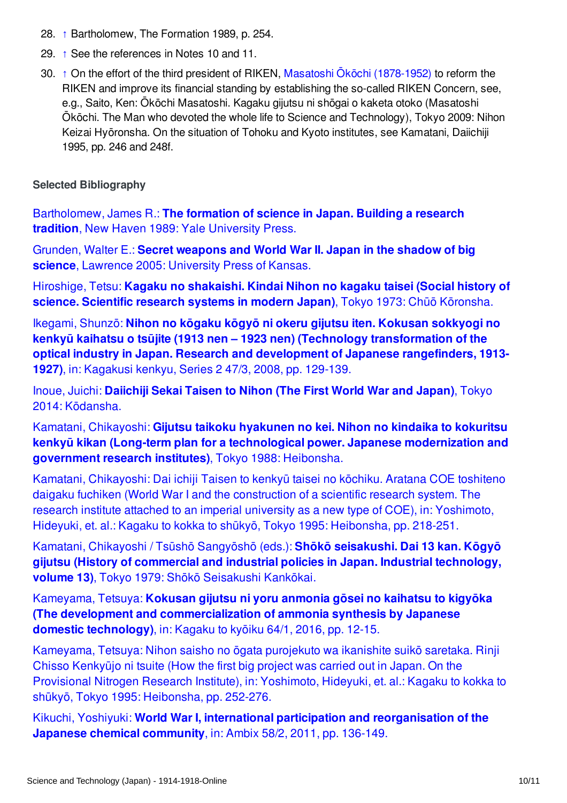- <span id="page-9-1"></span>28. [↑](#page-6-4) Bartholomew, The Formation 1989, p. 254.
- <span id="page-9-2"></span>29. [↑](#page-6-5) See the references in Notes 10 and 11.
- <span id="page-9-3"></span>30. [↑](#page-6-6) On the effort of the third president of RIKEN, Masatoshi Ōkōchi [\(1878-1952\)](/index/names/1124083340) to reform the RIKEN and improve its financial standing by establishing the so-called RIKEN Concern, see, e.g., Saito, Ken: Ōkōchi Masatoshi. Kagaku gijutsu ni shōgai o kaketa otoko (Masatoshi Ōkōchi. The Man who devoted the whole life to Science and Technology), Tokyo 2009: Nihon Keizai Hyōronsha. On the situation of Tohoku and Kyoto institutes, see Kamatani, Daiichiji 1995, pp. 246 and 248f.

#### <span id="page-9-0"></span>**Selected Bibliography**

[Bartholomew,](http://encyclopedia.1914-1918-online.net/bibliography/S8TPW4IQ) James R.: **The formation of science in Japan. Building a research tradition**, New Haven 1989: Yale University Press.

Grunden, Walter E.: **Secret weapons and World War II. Japan in the shadow of big science**, Lawrence 2005: [University](http://encyclopedia.1914-1918-online.net/bibliography/5QFFZ33Z) Press of Kansas.

Hiroshige, Tetsu: **Kagaku no [shakaishi.](http://encyclopedia.1914-1918-online.net/bibliography/42FJP684) Kindai Nihon no kagaku taisei (Social history of science. Scientific research systems in modern Japan)**, Tokyo 1973: Chūō Kōronsha.

Ikegami, Shunzō: **Nihon no kōgaku kōgyō ni okeru gijutsu iten. Kokusan sokkyogi no kenkyū kaihatsu o tsūjite (1913 nen – 1923 nen) (Technology [transformation](http://encyclopedia.1914-1918-online.net/bibliography/XGRARUXW) of the optical industry in Japan. Research and development of Japanese rangefinders, 1913- 1927)**, in: Kagakusi kenkyu, Series 2 47/3, 2008, pp. 129-139.

Inoue, Juichi: **Daiichiji Sekai Taisen to Nihon (The First World War and Japan)**, Tokyo 2014: [Kōdansha.](http://encyclopedia.1914-1918-online.net/bibliography/GD49RD25)

Kamatani, Chikayoshi: **Gijutsu taikoku hyakunen no kei. Nihon no kindaika to kokuritsu kenkyū kikan (Long-term plan for a technological power. Japanese [modernization](http://encyclopedia.1914-1918-online.net/bibliography/B95VBMQI) and government research institutes)**, Tokyo 1988: Heibonsha.

Kamatani, Chikayoshi: Dai ichiji Taisen to kenkyū taisei no kōchiku. Aratana COE toshiteno daigaku fuchiken (World War I and the [construction](http://encyclopedia.1914-1918-online.net/bibliography/4I8D6J26) of a scientific research system. The research institute attached to an imperial university as a new type of COE), in: Yoshimoto, Hideyuki, et. al.: Kagaku to kokka to shūkyō, Tokyo 1995: Heibonsha, pp. 218-251.

Kamatani, Chikayoshi / Tsūshō Sangyōshō (eds.): **Shōkō seisakushi. Dai 13 kan. Kōgyō gijutsu (History of commercial and industrial policies in Japan. Industrial [technology,](http://encyclopedia.1914-1918-online.net/bibliography/PPH77MNA) volume 13)**, Tokyo 1979: Shōkō Seisakushi Kankōkai.

Kameyama, Tetsuya: **Kokusan gijutsu ni yoru anmonia gōsei no kaihatsu to kigyōka (The development and [commercialization](http://encyclopedia.1914-1918-online.net/bibliography/6WJQBBFX) of ammonia synthesis by Japanese domestic technology)**, in: Kagaku to kyōiku 64/1, 2016, pp. 12-15.

[Kameyama,](http://encyclopedia.1914-1918-online.net/bibliography/SVAPBRAT) Tetsuya: Nihon saisho no ōgata purojekuto wa ikanishite suikō saretaka. Rinji Chisso Kenkyūjo ni tsuite (How the first big project was carried out in Japan. On the Provisional Nitrogen Research Institute), in: Yoshimoto, Hideyuki, et. al.: Kagaku to kokka to shūkyō, Tokyo 1995: Heibonsha, pp. 252-276.

Kikuchi, Yoshiyuki: **World War I, international participation and [reorganisation](http://encyclopedia.1914-1918-online.net/bibliography/8ZWP3HDR) of the Japanese chemical community**, in: Ambix 58/2, 2011, pp. 136-149.